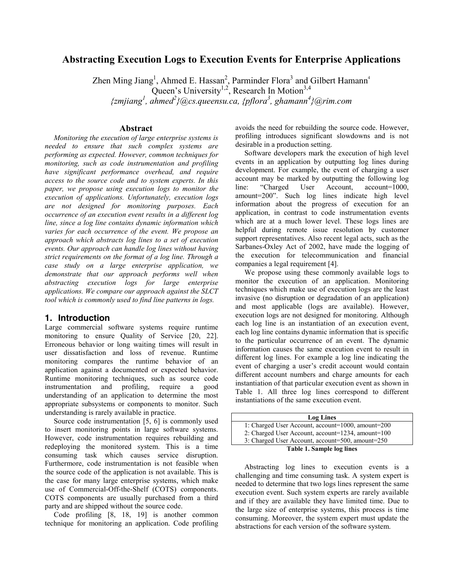# **Abstracting Execution Logs to Execution Events for Enterprise Applications**

Zhen Ming Jiang<sup>1</sup>, Ahmed E. Hassan<sup>2</sup>, Parminder Flora<sup>3</sup> and Gilbert Hamann<sup>4</sup> Queen's University<sup>1,2</sup>, Research In Motion<sup>3,4</sup> *{zmjiang<sup>1</sup> , ahmed<sup>2</sup> }@cs.queensu.ca, {pflora3 , ghamann4 }@rim.com* 

### **Abstract**

*Monitoring the execution of large enterprise systems is needed to ensure that such complex systems are performing as expected. However, common techniques for monitoring, such as code instrumentation and profiling have significant performance overhead, and require access to the source code and to system experts. In this paper, we propose using execution logs to monitor the execution of applications. Unfortunately, execution logs are not designed for monitoring purposes. Each occurrence of an execution event results in a different log line, since a log line contains dynamic information which varies for each occurrence of the event. We propose an approach which abstracts log lines to a set of execution events. Our approach can handle log lines without having strict requirements on the format of a log line. Through a case study on a large enterprise application, we demonstrate that our approach performs well when abstracting execution logs for large enterprise applications. We compare our approach against the SLCT tool which is commonly used to find line patterns in logs.* 

### **1. Introduction**

Large commercial software systems require runtime monitoring to ensure Quality of Service [20, 22]. Erroneous behavior or long waiting times will result in user dissatisfaction and loss of revenue. Runtime monitoring compares the runtime behavior of an application against a documented or expected behavior. Runtime monitoring techniques, such as source code instrumentation and profiling, require a good understanding of an application to determine the most appropriate subsystems or components to monitor. Such understanding is rarely available in practice.

Source code instrumentation [5, 6] is commonly used to insert monitoring points in large software systems. However, code instrumentation requires rebuilding and redeploying the monitored system. This is a time consuming task which causes service disruption. Furthermore, code instrumentation is not feasible when the source code of the application is not available. This is the case for many large enterprise systems, which make use of Commercial-Off-the-Shelf (COTS) components. COTS components are usually purchased from a third party and are shipped without the source code.

Code profiling [8, 18, 19] is another common technique for monitoring an application. Code profiling avoids the need for rebuilding the source code. However, profiling introduces significant slowdowns and is not desirable in a production setting.

Software developers mark the execution of high level events in an application by outputting log lines during development. For example, the event of charging a user account may be marked by outputting the following log line: "Charged User Account, account=1000, amount=200". Such log lines indicate high level information about the progress of execution for an application, in contrast to code instrumentation events which are at a much lower level. These logs lines are helpful during remote issue resolution by customer support representatives. Also recent legal acts, such as the Sarbanes-Oxley Act of 2002, have made the logging of the execution for telecommunication and financial companies a legal requirement [4].

We propose using these commonly available logs to monitor the execution of an application. Monitoring techniques which make use of execution logs are the least invasive (no disruption or degradation of an application) and most applicable (logs are available). However, execution logs are not designed for monitoring. Although each log line is an instantiation of an execution event, each log line contains dynamic information that is specific to the particular occurrence of an event. The dynamic information causes the same execution event to result in different log lines. For example a log line indicating the event of charging a user's credit account would contain different account numbers and charge amounts for each instantiation of that particular execution event as shown in Table 1. All three log lines correspond to different instantiations of the same execution event.

| <b>Log Lines</b>                                  |
|---------------------------------------------------|
| 1: Charged User Account, account=1000, amount=200 |
| 2: Charged User Account, account=1234, amount=100 |
| 3: Charged User Account, account=500, amount=250  |
| <b>Table 1. Sample log lines</b>                  |

Abstracting log lines to execution events is a challenging and time consuming task. A system expert is needed to determine that two logs lines represent the same execution event. Such system experts are rarely available and if they are available they have limited time. Due to the large size of enterprise systems, this process is time consuming. Moreover, the system expert must update the abstractions for each version of the software system.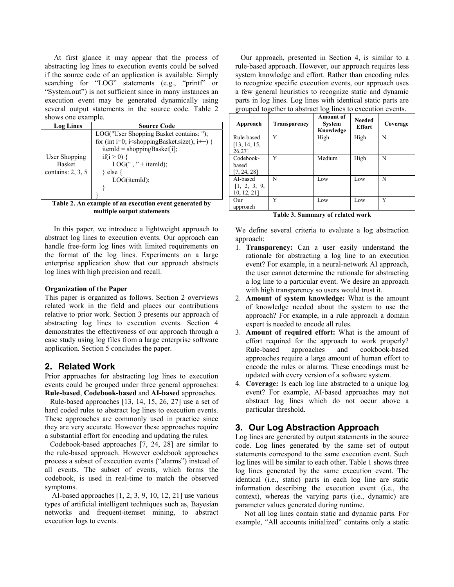At first glance it may appear that the process of abstracting log lines to execution events could be solved if the source code of an application is available. Simply searching for "LOG" statements (e.g., "printf" or "System.out") is not sufficient since in many instances an execution event may be generated dynamically using several output statements in the source code. Table 2 shows one example.

| <b>Log Lines</b>                                      | <b>Source Code</b>                                                                                                                                                                                      |
|-------------------------------------------------------|---------------------------------------------------------------------------------------------------------------------------------------------------------------------------------------------------------|
| User Shopping<br><b>Basket</b><br>contains: $2, 3, 5$ | LOG("User Shopping Basket contains: ");<br>for (int i=0; i ishopping Basket size(); i++) {<br>$itemId = shoppingBasket[i];$<br>if(i > 0) {<br>$LOG("," + itemId);$<br>$\}$ else $\{$<br>$LOG(itemId)$ : |
|                                                       |                                                                                                                                                                                                         |

**Table 2. An example of an execution event generated by multiple output statements** 

In this paper, we introduce a lightweight approach to abstract log lines to execution events. Our approach can handle free-form log lines with limited requirements on the format of the log lines. Experiments on a large enterprise application show that our approach abstracts log lines with high precision and recall.

### **Organization of the Paper**

This paper is organized as follows. Section 2 overviews related work in the field and places our contributions relative to prior work. Section 3 presents our approach of abstracting log lines to execution events. Section 4 demonstrates the effectiveness of our approach through a case study using log files from a large enterprise software application. Section 5 concludes the paper.

## **2. Related Work**

Prior approaches for abstracting log lines to execution events could be grouped under three general approaches: **Rule-based**, **Codebook-based** and **AI-based** approaches.

Rule-based approaches [13, 14, 15, 26, 27] use a set of hard coded rules to abstract log lines to execution events. These approaches are commonly used in practice since they are very accurate. However these approaches require a substantial effort for encoding and updating the rules.

Codebook-based approaches [7, 24, 28] are similar to the rule-based approach. However codebook approaches process a subset of execution events ("alarms") instead of all events. The subset of events, which forms the codebook, is used in real-time to match the observed symptoms.

 AI-based approaches [1, 2, 3, 9, 10, 12, 21] use various types of artificial intelligent techniques such as, Bayesian networks and frequent-itemset mining, to abstract execution logs to events.

Our approach, presented in Section 4, is similar to a rule-based approach. However, our approach requires less system knowledge and effort. Rather than encoding rules to recognize specific execution events, our approach uses a few general heuristics to recognize static and dynamic parts in log lines. Log lines with identical static parts are grouped together to abstract log lines to execution events.

| Approach               | Transparency | Amount of<br><b>System</b><br>Knowledge | <b>Needed</b><br><b>Effort</b> | Coverage |
|------------------------|--------------|-----------------------------------------|--------------------------------|----------|
| Rule-based             | Y            | High                                    | High                           | N        |
| [13, 14, 15,<br>26,27] |              |                                         |                                |          |
| Codebook-              | Y            | Medium                                  | High                           | N        |
| based                  |              |                                         |                                |          |
| [7, 24, 28]            |              |                                         |                                |          |
| AI-based               | N            | Low                                     | Low                            | N        |
| [1, 2, 3, 9,           |              |                                         |                                |          |
| 10, 12, 21]            |              |                                         |                                |          |
| Our                    | Y            | Low                                     | Low                            | Y        |
| approach               |              |                                         |                                |          |

**Table 3. Summary of related work** 

We define several criteria to evaluate a log abstraction approach:

- 1. **Transparency:** Can a user easily understand the rationale for abstracting a log line to an execution event? For example, in a neural-network AI approach, the user cannot determine the rationale for abstracting a log line to a particular event. We desire an approach with high transparency so users would trust it.
- 2. **Amount of system knowledge:** What is the amount of knowledge needed about the system to use the approach? For example, in a rule approach a domain expert is needed to encode all rules.
- 3. **Amount of required effort:** What is the amount of effort required for the approach to work properly? Rule-based approaches and cookbook-based approaches require a large amount of human effort to encode the rules or alarms. These encodings must be updated with every version of a software system.
- 4. **Coverage:** Is each log line abstracted to a unique log event? For example, AI-based approaches may not abstract log lines which do not occur above a particular threshold.

# **3. Our Log Abstraction Approach**

Log lines are generated by output statements in the source code. Log lines generated by the same set of output statements correspond to the same execution event. Such log lines will be similar to each other. Table 1 shows three log lines generated by the same execution event. The identical (i.e., static) parts in each log line are static information describing the execution event (i.e., the context), whereas the varying parts (i.e., dynamic) are parameter values generated during runtime.

Not all log lines contain static and dynamic parts. For example, "All accounts initialized" contains only a static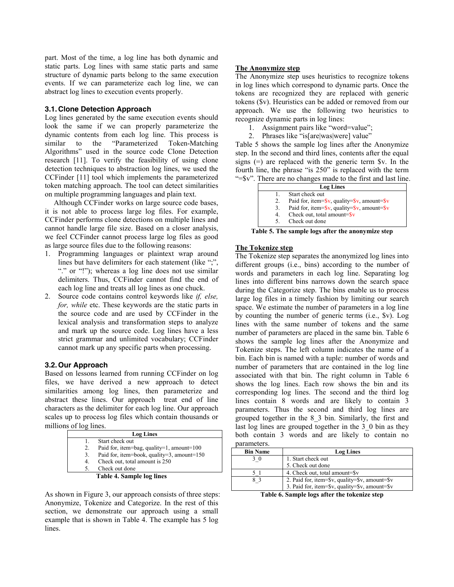part. Most of the time, a log line has both dynamic and static parts. Log lines with same static parts and same structure of dynamic parts belong to the same execution events. If we can parameterize each log line, we can abstract log lines to execution events properly.

### **3.1.Clone Detection Approach**

Log lines generated by the same execution events should look the same if we can properly parameterize the dynamic contents from each log line. This process is similar to the "Parameterized Token-Matching Algorithms" used in the source code Clone Detection research [11]. To verify the feasibility of using clone detection techniques to abstraction log lines, we used the CCFinder [11] tool which implements the parameterized token matching approach. The tool can detect similarities on multiple programming languages and plain text.

Although CCFinder works on large source code bases, it is not able to process large log files. For example, CCFinder performs clone detections on multiple lines and cannot handle large file size. Based on a closer analysis, we feel CCFinder cannot process large log files as good as large source files due to the following reasons:

- 1. Programming languages or plaintext wrap around lines but have delimiters for each statement (like ";", "." or "!"); whereas a log line does not use similar delimiters. Thus, CCFinder cannot find the end of each log line and treats all log lines as one chuck.
- 2. Source code contains control keywords like *if, else, for, while* etc. These keywords are the static parts in the source code and are used by CCFinder in the lexical analysis and transformation steps to analyze and mark up the source code. Log lines have a less strict grammar and unlimited vocabulary; CCFinder cannot mark up any specific parts when processing.

### **3.2.Our Approach**

Based on lessons learned from running CCFinder on log files, we have derived a new approach to detect similarities among log lines, then parameterize and abstract these lines. Our approach treat end of line characters as the delimiter for each log line. Our approach scales up to process log files which contain thousands or millions of log lines.

|    | <b>Log Lines</b>                             |
|----|----------------------------------------------|
|    | Start check out                              |
| 2. | Paid for, item=bag, quality=1, amount= $100$ |
| 3. | Paid for, item=book, quality=3, amount=150   |
| 4. | Check out, total amount is 250               |
|    | Check out done                               |
|    | <b>Table 4. Sample log lines</b>             |

As shown in Figure 3, our approach consists of three steps: Anonymize, Tokenize and Categorize. In the rest of this section, we demonstrate our approach using a small example that is shown in Table 4. The example has 5 log lines.

### **The Anonymize step**

The Anonymize step uses heuristics to recognize tokens in log lines which correspond to dynamic parts. Once the tokens are recognized they are replaced with generic tokens (\$v). Heuristics can be added or removed from our approach. We use the following two heuristics to recognize dynamic parts in log lines:

- 1. Assignment pairs like "word=value";
- 2. Phrases like "is[are|was|were] value"

Table 5 shows the sample log lines after the Anonymize step. In the second and third lines, contents after the equal signs  $(=)$  are replaced with the generic term  $v$ . In the fourth line, the phrase "is 250" is replaced with the term "=\$v". There are no changes made to the first and last line.

|    | <b>Log Lines</b>                                                                  |
|----|-----------------------------------------------------------------------------------|
|    | Start check out                                                                   |
| 2. | Paid for, item= $\frac{6}{3}v$ , quality= $\frac{6}{3}v$ , amount= $\frac{6}{3}v$ |
| 3. | Paid for, item= $\frac{6}{3}v$ , quality= $\frac{6}{3}v$ , amount= $\frac{6}{3}v$ |
| 4. | Check out, total amount= $\$$ v                                                   |
|    | Check out done                                                                    |

**Table 5. The sample logs after the anonymize step** 

### **The Tokenize step**

The Tokenize step separates the anonymized log lines into different groups (i.e., bins) according to the number of words and parameters in each log line. Separating log lines into different bins narrows down the search space during the Categorize step. The bins enable us to process large log files in a timely fashion by limiting our search space. We estimate the number of parameters in a log line by counting the number of generic terms (i.e., \$v). Log lines with the same number of tokens and the same number of parameters are placed in the same bin. Table 6 shows the sample log lines after the Anonymize and Tokenize steps. The left column indicates the name of a bin. Each bin is named with a tuple: number of words and number of parameters that are contained in the log line associated with that bin. The right column in Table 6 shows the log lines. Each row shows the bin and its corresponding log lines. The second and the third log lines contain 8 words and are likely to contain 3 parameters. Thus the second and third log lines are grouped together in the 8\_3 bin. Similarly, the first and last log lines are grouped together in the 3–0 bin as they both contain 3 words and are likely to contain no parameters.

| <b>Bin Name</b> | <b>Log Lines</b>                                                                                                                                                                                                                                                                              |  |
|-----------------|-----------------------------------------------------------------------------------------------------------------------------------------------------------------------------------------------------------------------------------------------------------------------------------------------|--|
| 30              | 1. Start check out                                                                                                                                                                                                                                                                            |  |
|                 | 5. Check out done                                                                                                                                                                                                                                                                             |  |
|                 | 4. Check out, total amount=\$v                                                                                                                                                                                                                                                                |  |
| 83              | 2. Paid for, item=\$v, quality=\$v, amount=\$v                                                                                                                                                                                                                                                |  |
|                 | 3. Paid for, item=\$v, quality=\$v, amount=\$v                                                                                                                                                                                                                                                |  |
|                 | $T_{\rm eff}$ , $\ell$ , $\ell$ , $\ell$ , $\ell$ , $\ell$ , $\ell$ , $\ell$ , $\ell$ , $\ell$ , $\ell$ , $\ell$ , $\ell$ , $\ell$ , $\ell$ , $\ell$ , $\ell$ , $\ell$ , $\ell$ , $\ell$ , $\ell$ , $\ell$ , $\ell$ , $\ell$ , $\ell$ , $\ell$ , $\ell$ , $\ell$ , $\ell$ , $\ell$ , $\ell$ , |  |

**Table 6. Sample logs after the tokenize step**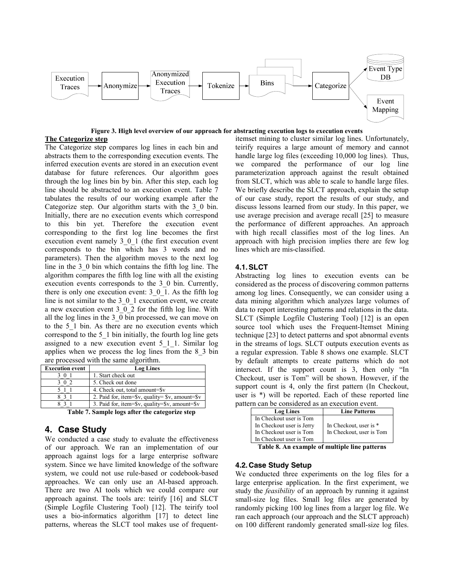

**Figure 3. High level overview of our approach for abstracting execution logs to execution events**

### **The Categorize step**

The Categorize step compares log lines in each bin and abstracts them to the corresponding execution events. The inferred execution events are stored in an execution event database for future references. Our algorithm goes through the log lines bin by bin. After this step, each log line should be abstracted to an execution event. Table 7 tabulates the results of our working example after the Categorize step. Our algorithm starts with the 3\_0 bin. Initially, there are no execution events which correspond to this bin yet. Therefore the execution event corresponding to the first log line becomes the first execution event namely 3\_0\_1 (the first execution event corresponds to the bin which has 3 words and no parameters). Then the algorithm moves to the next log line in the 3\_0 bin which contains the fifth log line. The algorithm compares the fifth log line with all the existing execution events corresponds to the 3\_0 bin. Currently, there is only one execution event: 3\_0\_1. As the fifth log line is not similar to the 3\_0\_1 execution event, we create a new execution event  $3\overline{0}$   $\overline{2}$  for the fifth log line. With all the log lines in the 3\_0 bin processed, we can move on to the 5\_1 bin. As there are no execution events which correspond to the 5\_1 bin initially, the fourth log line gets assigned to a new execution event 5\_1\_1. Similar log applies when we process the log lines from the 8\_3 bin are processed with the same algorithm.

| <b>Execution event</b> | <b>Log Lines</b>                                                         |  |
|------------------------|--------------------------------------------------------------------------|--|
| U                      | 1. Start check out                                                       |  |
|                        | 5. Check out done                                                        |  |
|                        | 4. Check out, total amount=\$v                                           |  |
|                        | 2. Paid for, item= $\gamma v$ , quality= $\gamma v$ , amount= $\gamma v$ |  |
|                        | 3. Paid for, item= $\gamma v$ , quality= $\gamma v$ , amount= $\gamma v$ |  |

**Table 7. Sample logs after the categorize step** 

# **4. Case Study**

We conducted a case study to evaluate the effectiveness of our approach. We ran an implementation of our approach against logs for a large enterprise software system. Since we have limited knowledge of the software system, we could not use rule-based or codebook-based approaches. We can only use an AI-based approach. There are two AI tools which we could compare our approach against. The tools are: teirify [16] and SLCT (Simple Logfile Clustering Tool) [12]. The teirify tool uses a bio-informatics algorithm [17] to detect line patterns, whereas the SLCT tool makes use of frequentitemset mining to cluster similar log lines. Unfortunately, teirify requires a large amount of memory and cannot handle large log files (exceeding 10,000 log lines). Thus, we compared the performance of our log line parameterization approach against the result obtained from SLCT, which was able to scale to handle large files. We briefly describe the SLCT approach, explain the setup of our case study, report the results of our study, and discuss lessons learned from our study. In this paper, we use average precision and average recall [25] to measure the performance of different approaches. An approach with high recall classifies most of the log lines. An approach with high precision implies there are few log lines which are mis-classified.

## **4.1.SLCT**

Abstracting log lines to execution events can be considered as the process of discovering common patterns among log lines. Consequently, we can consider using a data mining algorithm which analyzes large volumes of data to report interesting patterns and relations in the data. SLCT (Simple Logfile Clustering Tool) [12] is an open source tool which uses the Frequent-Itemset Mining technique [23] to detect patterns and spot abnormal events in the streams of logs. SLCT outputs execution events as a regular expression. Table 8 shows one example. SLCT by default attempts to create patterns which do not intersect. If the support count is 3, then only "In Checkout, user is Tom" will be shown. However, if the support count is 4, only the first pattern (In Checkout, user is \*) will be reported. Each of these reported line pattern can be considered as an execution event.

| <b>Log Lines</b>                                                                                           | <b>Line Patterns</b>                               |
|------------------------------------------------------------------------------------------------------------|----------------------------------------------------|
| In Checkout user is Tom<br>In Checkout user is Jerry<br>In Checkout user is Tom<br>In Checkout user is Tom | In Checkout, user is *<br>In Checkout, user is Tom |

**Table 8. An example of multiple line patterns** 

## **4.2.Case Study Setup**

We conducted three experiments on the log files for a large enterprise application. In the first experiment, we study the *feasibility* of an approach by running it against small-size log files. Small log files are generated by randomly picking 100 log lines from a larger log file. We ran each approach (our approach and the SLCT approach) on 100 different randomly generated small-size log files.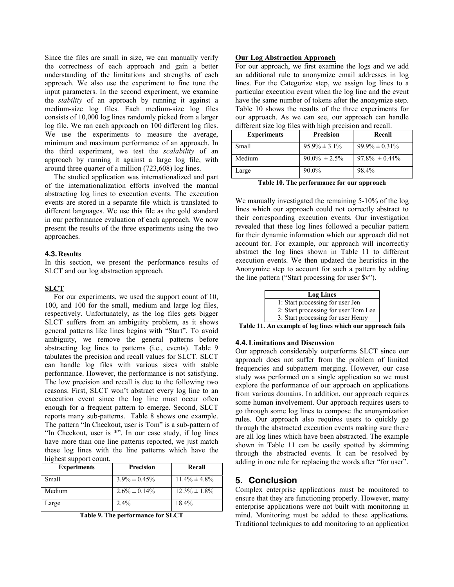Since the files are small in size, we can manually verify the correctness of each approach and gain a better understanding of the limitations and strengths of each approach. We also use the experiment to fine tune the input parameters. In the second experiment, we examine the *stability* of an approach by running it against a medium-size log files. Each medium-size log files consists of 10,000 log lines randomly picked from a larger log file. We ran each approach on 100 different log files. We use the experiments to measure the average, minimum and maximum performance of an approach. In the third experiment, we test the *scalability* of an approach by running it against a large log file, with around three quarter of a million (723,608) log lines. The studied application was internationalized and part

of the internationalization efforts involved the manual abstracting log lines to execution events. The execution events are stored in a separate file which is translated to different languages. We use this file as the gold standard in our performance evaluation of each approach. We now present the results of the three experiments using the two approaches.

#### **4.3.Results**

In this section, we present the performance results of SLCT and our log abstraction approach.

### **SLCT**

For our experiments, we used the support count of 10, 100, and 100 for the small, medium and large log files, respectively. Unfortunately, as the log files gets bigger SLCT suffers from an ambiguity problem, as it shows general patterns like lines begins with "Start". To avoid ambiguity, we remove the general patterns before abstracting log lines to patterns (i.e., events). Table 9 tabulates the precision and recall values for SLCT. SLCT can handle log files with various sizes with stable performance. However, the performance is not satisfying. The low precision and recall is due to the following two reasons. First, SLCT won't abstract every log line to an execution event since the log line must occur often enough for a frequent pattern to emerge. Second, SLCT reports many sub-patterns. Table 8 shows one example. The pattern "In Checkout, user is Tom" is a sub-pattern of "In Checkout, user is \*". In our case study, if log lines have more than one line patterns reported, we just match these log lines with the line patterns which have the highest support count.

| <b>Experiments</b> | <b>Precision</b>   | Recall             |
|--------------------|--------------------|--------------------|
| Small              | $3.9\% \pm 0.45\%$ | $11.4\% \pm 4.8\%$ |
| Medium             | $2.6\% \pm 0.14\%$ | $12.3\% \pm 1.8\%$ |
| Large              | 2.4%               | 18.4%              |

**Table 9. The performance for SLCT** 

### **Our Log Abstraction Approach**

For our approach, we first examine the logs and we add an additional rule to anonymize email addresses in log lines. For the Categorize step, we assign log lines to a particular execution event when the log line and the event have the same number of tokens after the anonymize step. Table 10 shows the results of the three experiments for our approach. As we can see, our approach can handle different size log files with high precision and recall.

| <b>Experiments</b> | <b>Precision</b>   | Recall              |
|--------------------|--------------------|---------------------|
| Small              | $95.9\% \pm 3.1\%$ | $99.9\% \pm 0.31\%$ |
| Medium             | $90.0\% \pm 2.5\%$ | $97.8\% \pm 0.44\%$ |
| Large              | $90.0\%$           | 98.4%               |

**Table 10. The performance for our approach** 

We manually investigated the remaining 5-10% of the log lines which our approach could not correctly abstract to their corresponding execution events. Our investigation revealed that these log lines followed a peculiar pattern for their dynamic information which our approach did not account for. For example, our approach will incorrectly abstract the log lines shown in Table 11 to different execution events. We then updated the heuristics in the Anonymize step to account for such a pattern by adding the line pattern ("Start processing for user \$v").

| <b>Log Lines</b>                     |
|--------------------------------------|
| 1: Start processing for user Jen     |
| 2: Start processing for user Tom Lee |
| 3: Start processing for user Henry   |

**Table 11. An example of log lines which our approach fails** 

#### **4.4.Limitations and Discussion**

Our approach considerably outperforms SLCT since our approach does not suffer from the problem of limited frequencies and subpattern merging. However, our case study was performed on a single application so we must explore the performance of our approach on applications from various domains. In addition, our approach requires some human involvement. Our approach requires users to go through some log lines to compose the anonymization rules. Our approach also requires users to quickly go through the abstracted execution events making sure there are all log lines which have been abstracted. The example shown in Table 11 can be easily spotted by skimming through the abstracted events. It can be resolved by adding in one rule for replacing the words after "for user".

## **5. Conclusion**

Complex enterprise applications must be monitored to ensure that they are functioning properly. However, many enterprise applications were not built with monitoring in mind. Monitoring must be added to these applications. Traditional techniques to add monitoring to an application